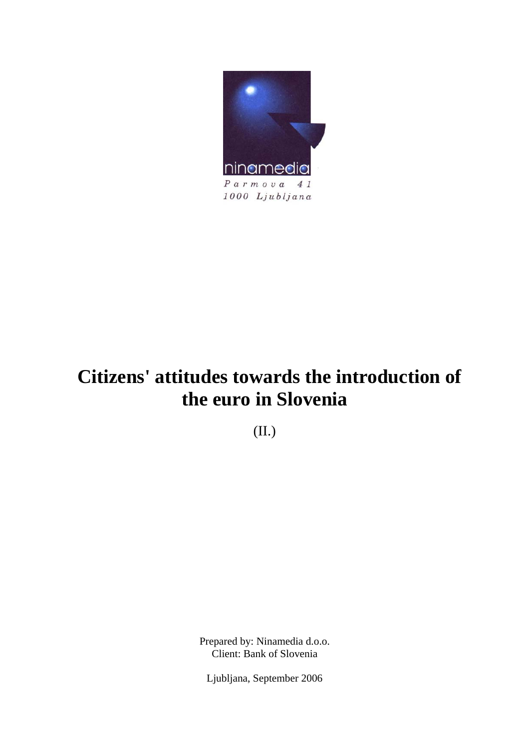

# **Citizens' attitudes towards the introduction of the euro in Slovenia**

(II.)

Prepared by: Ninamedia d.o.o. Client: Bank of Slovenia

Ljubljana, September 2006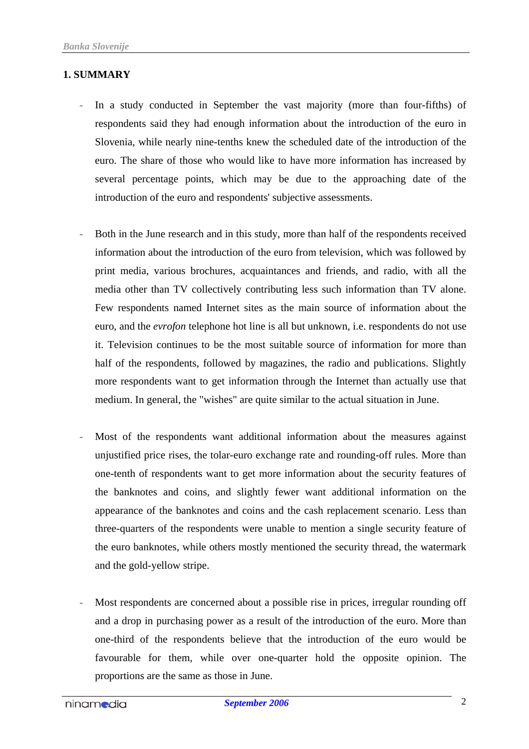#### **1. SUMMARY**

- In a study conducted in September the vast majority (more than four-fifths) of respondents said they had enough information about the introduction of the euro in Slovenia, while nearly nine-tenths knew the scheduled date of the introduction of the euro. The share of those who would like to have more information has increased by several percentage points, which may be due to the approaching date of the introduction of the euro and respondents' subjective assessments.
- Both in the June research and in this study, more than half of the respondents received information about the introduction of the euro from television, which was followed by print media, various brochures, acquaintances and friends, and radio, with all the media other than TV collectively contributing less such information than TV alone. Few respondents named Internet sites as the main source of information about the euro, and the *evrofon* telephone hot line is all but unknown, i.e. respondents do not use it. Television continues to be the most suitable source of information for more than half of the respondents, followed by magazines, the radio and publications. Slightly more respondents want to get information through the Internet than actually use that medium. In general, the "wishes" are quite similar to the actual situation in June.
- Most of the respondents want additional information about the measures against unjustified price rises, the tolar-euro exchange rate and rounding-off rules. More than one-tenth of respondents want to get more information about the security features of the banknotes and coins, and slightly fewer want additional information on the appearance of the banknotes and coins and the cash replacement scenario. Less than three-quarters of the respondents were unable to mention a single security feature of the euro banknotes, while others mostly mentioned the security thread, the watermark and the gold-yellow stripe.
- Most respondents are concerned about a possible rise in prices, irregular rounding off and a drop in purchasing power as a result of the introduction of the euro. More than one-third of the respondents believe that the introduction of the euro would be favourable for them, while over one-quarter hold the opposite opinion. The proportions are the same as those in June.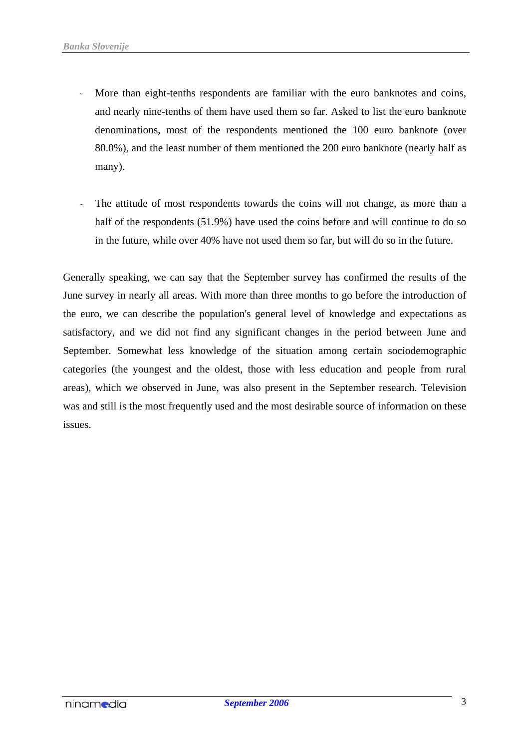- More than eight-tenths respondents are familiar with the euro banknotes and coins, and nearly nine-tenths of them have used them so far. Asked to list the euro banknote denominations, most of the respondents mentioned the 100 euro banknote (over 80.0%), and the least number of them mentioned the 200 euro banknote (nearly half as many).
- The attitude of most respondents towards the coins will not change, as more than a half of the respondents (51.9%) have used the coins before and will continue to do so in the future, while over 40% have not used them so far, but will do so in the future.

Generally speaking, we can say that the September survey has confirmed the results of the June survey in nearly all areas. With more than three months to go before the introduction of the euro, we can describe the population's general level of knowledge and expectations as satisfactory, and we did not find any significant changes in the period between June and September. Somewhat less knowledge of the situation among certain sociodemographic categories (the youngest and the oldest, those with less education and people from rural areas), which we observed in June, was also present in the September research. Television was and still is the most frequently used and the most desirable source of information on these issues.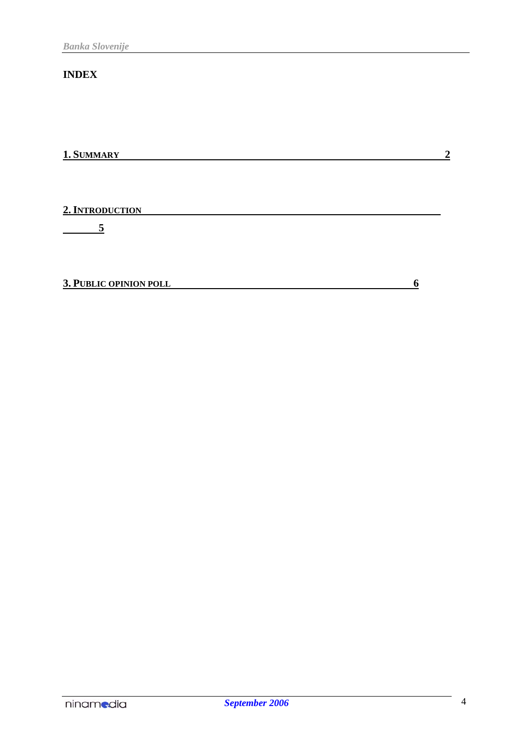### **INDEX**

**1. SUMMARY 2**

**2. INTRODUCTION** 

 **5**

**3. PUBLIC OPINION POLL 6**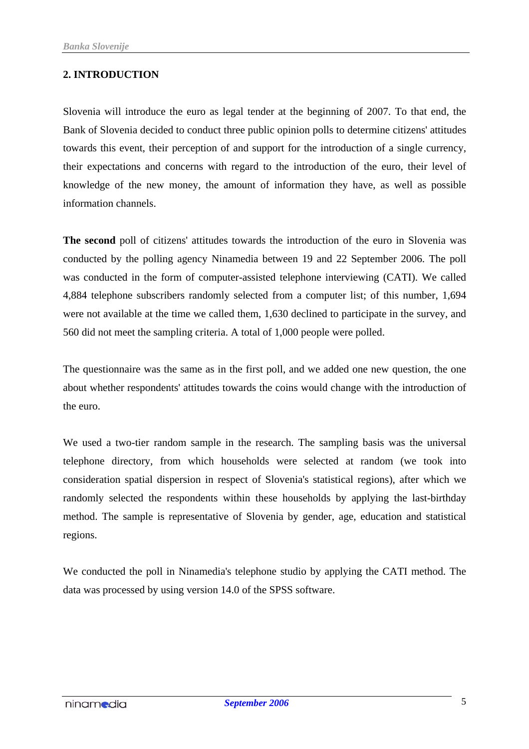#### **2. INTRODUCTION**

Slovenia will introduce the euro as legal tender at the beginning of 2007. To that end, the Bank of Slovenia decided to conduct three public opinion polls to determine citizens' attitudes towards this event, their perception of and support for the introduction of a single currency, their expectations and concerns with regard to the introduction of the euro, their level of knowledge of the new money, the amount of information they have, as well as possible information channels.

**The second** poll of citizens' attitudes towards the introduction of the euro in Slovenia was conducted by the polling agency Ninamedia between 19 and 22 September 2006. The poll was conducted in the form of computer-assisted telephone interviewing (CATI). We called 4,884 telephone subscribers randomly selected from a computer list; of this number, 1,694 were not available at the time we called them, 1,630 declined to participate in the survey, and 560 did not meet the sampling criteria. A total of 1,000 people were polled.

The questionnaire was the same as in the first poll, and we added one new question, the one about whether respondents' attitudes towards the coins would change with the introduction of the euro.

We used a two-tier random sample in the research. The sampling basis was the universal telephone directory, from which households were selected at random (we took into consideration spatial dispersion in respect of Slovenia's statistical regions), after which we randomly selected the respondents within these households by applying the last-birthday method. The sample is representative of Slovenia by gender, age, education and statistical regions.

We conducted the poll in Ninamedia's telephone studio by applying the CATI method. The data was processed by using version 14.0 of the SPSS software.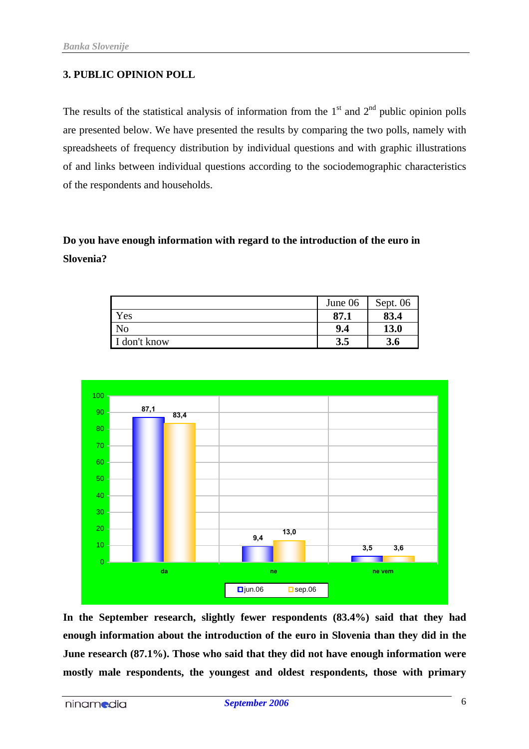#### **3. PUBLIC OPINION POLL**

The results of the statistical analysis of information from the  $1<sup>st</sup>$  and  $2<sup>nd</sup>$  public opinion polls are presented below. We have presented the results by comparing the two polls, namely with spreadsheets of frequency distribution by individual questions and with graphic illustrations of and links between individual questions according to the sociodemographic characteristics of the respondents and households.

## **Do you have enough information with regard to the introduction of the euro in Slovenia?**

|            | June 06 | Sept. $06$ |
|------------|---------|------------|
| Yes        | 87.1    | 83.4       |
| No         | 9.4     | 13.0       |
| don't know | 3.5     | 3.6        |



**In the September research, slightly fewer respondents (83.4%) said that they had enough information about the introduction of the euro in Slovenia than they did in the June research (87.1%). Those who said that they did not have enough information were mostly male respondents, the youngest and oldest respondents, those with primary**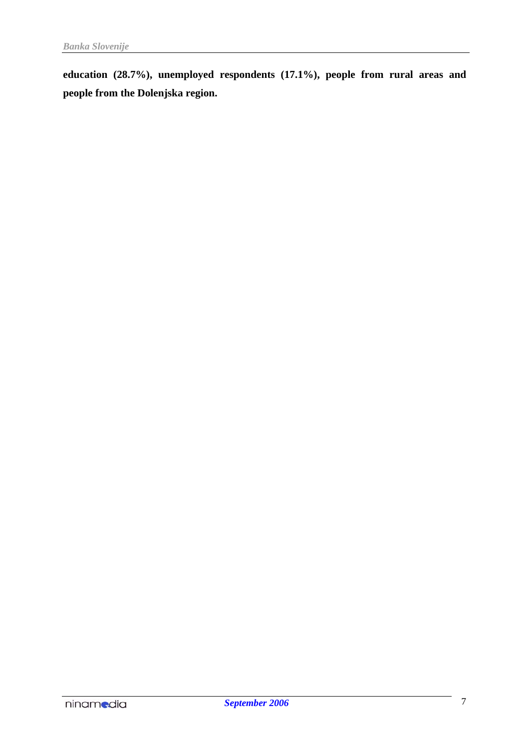**education (28.7%), unemployed respondents (17.1%), people from rural areas and people from the Dolenjska region.**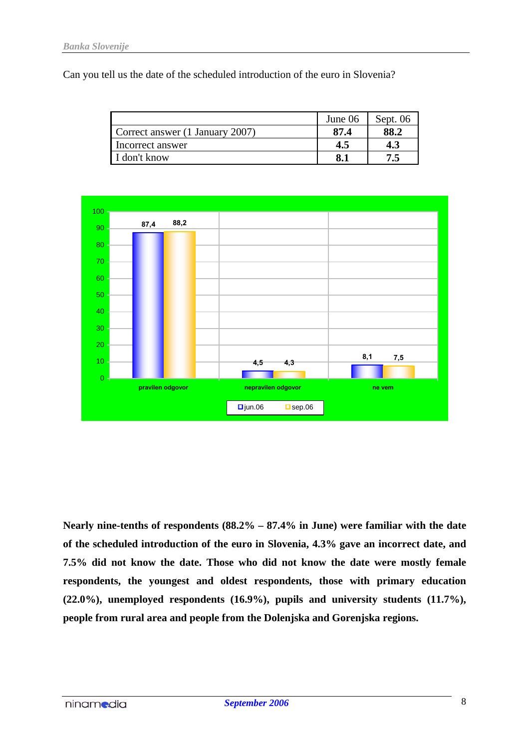Can you tell us the date of the scheduled introduction of the euro in Slovenia?

|                                 | June 06 | Sept. $06$ |
|---------------------------------|---------|------------|
| Correct answer (1 January 2007) | 87.4    |            |
| Incorrect answer                | 4.5     | 4.3        |
| I don't know                    |         |            |



**Nearly nine-tenths of respondents (88.2% – 87.4% in June) were familiar with the date of the scheduled introduction of the euro in Slovenia, 4.3% gave an incorrect date, and 7.5% did not know the date. Those who did not know the date were mostly female respondents, the youngest and oldest respondents, those with primary education (22.0%), unemployed respondents (16.9%), pupils and university students (11.7%), people from rural area and people from the Dolenjska and Gorenjska regions.**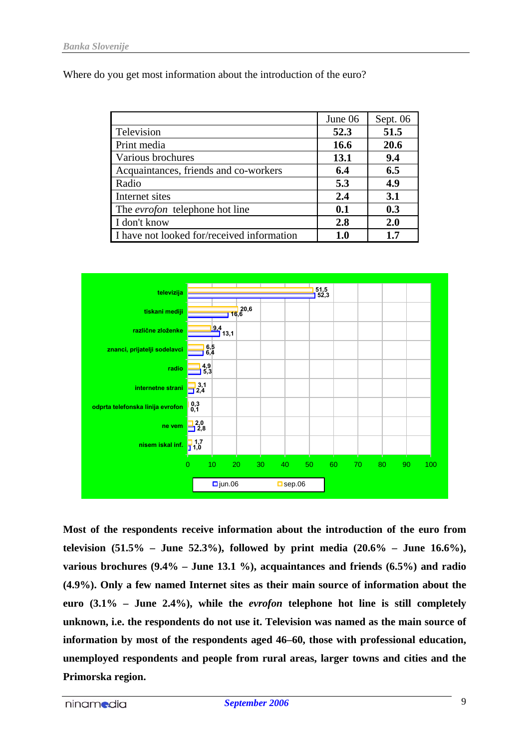Where do you get most information about the introduction of the euro?

|                                            | June 06 | Sept. 06 |
|--------------------------------------------|---------|----------|
| Television                                 | 52.3    | 51.5     |
| Print media                                | 16.6    | 20.6     |
| Various brochures                          | 13.1    | 9.4      |
| Acquaintances, friends and co-workers      | 6.4     | 6.5      |
| Radio                                      | 5.3     | 4.9      |
| Internet sites                             | 2.4     | 3.1      |
| The <i>evrofon</i> telephone hot line      | 0.1     | 0.3      |
| I don't know                               | 2.8     | 2.0      |
| I have not looked for/received information | 1.0     | 1.7      |



**Most of the respondents receive information about the introduction of the euro from television (51.5% – June 52.3%), followed by print media (20.6% – June 16.6%), various brochures (9.4% – June 13.1 %), acquaintances and friends (6.5%) and radio (4.9%). Only a few named Internet sites as their main source of information about the euro (3.1% – June 2.4%), while the** *evrofon* **telephone hot line is still completely unknown, i.e. the respondents do not use it. Television was named as the main source of information by most of the respondents aged 46–60, those with professional education, unemployed respondents and people from rural areas, larger towns and cities and the Primorska region.**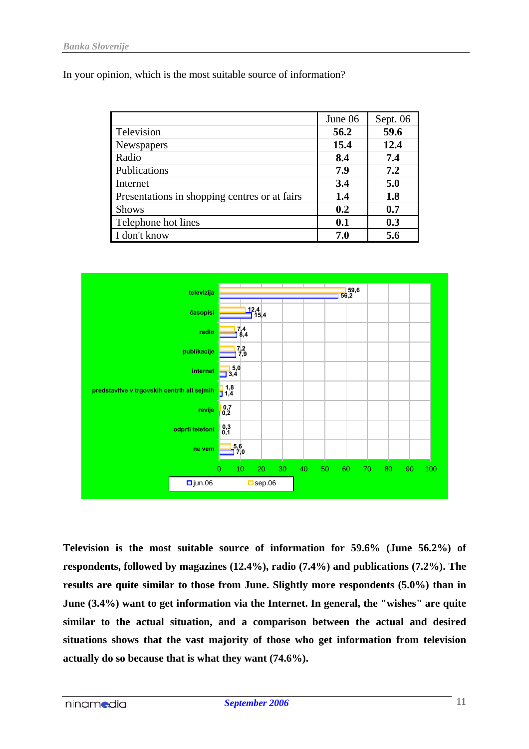In your opinion, which is the most suitable source of information?

|                                               | June 06 | Sept. 06 |
|-----------------------------------------------|---------|----------|
| Television                                    | 56.2    | 59.6     |
| Newspapers                                    | 15.4    | 12.4     |
| Radio                                         | 8.4     | 7.4      |
| Publications                                  | 7.9     | 7.2      |
| Internet                                      | 3.4     | 5.0      |
| Presentations in shopping centres or at fairs | 1.4     | 1.8      |
| <b>Shows</b>                                  | 0.2     | 0.7      |
| Telephone hot lines                           | 0.1     | 0.3      |
| I don't know                                  | 7.0     | 5.6      |



**Television is the most suitable source of information for 59.6% (June 56.2%) of respondents, followed by magazines (12.4%), radio (7.4%) and publications (7.2%). The results are quite similar to those from June. Slightly more respondents (5.0%) than in June (3.4%) want to get information via the Internet. In general, the "wishes" are quite similar to the actual situation, and a comparison between the actual and desired situations shows that the vast majority of those who get information from television actually do so because that is what they want (74.6%).**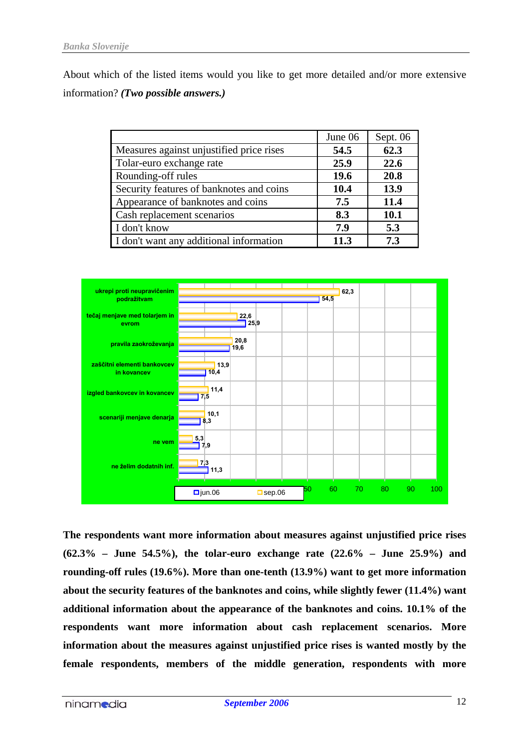About which of the listed items would you like to get more detailed and/or more extensive information? *(Two possible answers.)*

|                                          | June 06 | Sept. 06 |
|------------------------------------------|---------|----------|
| Measures against unjustified price rises | 54.5    | 62.3     |
| Tolar-euro exchange rate                 | 25.9    | 22.6     |
| Rounding-off rules                       | 19.6    | 20.8     |
| Security features of banknotes and coins | 10.4    | 13.9     |
| Appearance of banknotes and coins        | 7.5     | 11.4     |
| Cash replacement scenarios               | 8.3     | 10.1     |
| I don't know                             | 7.9     | 5.3      |
| I don't want any additional information  | 11.3    | 7.3      |



**The respondents want more information about measures against unjustified price rises (62.3% – June 54.5%), the tolar-euro exchange rate (22.6% – June 25.9%) and rounding-off rules (19.6%). More than one-tenth (13.9%) want to get more information about the security features of the banknotes and coins, while slightly fewer (11.4%) want additional information about the appearance of the banknotes and coins. 10.1% of the respondents want more information about cash replacement scenarios. More information about the measures against unjustified price rises is wanted mostly by the female respondents, members of the middle generation, respondents with more**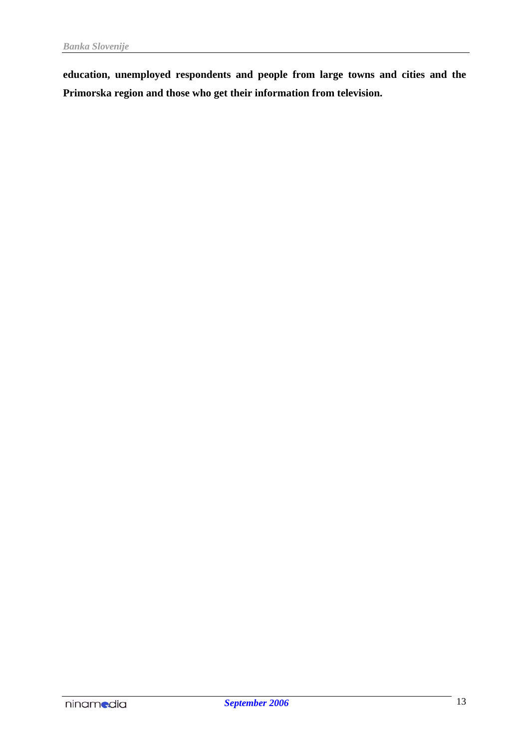**education, unemployed respondents and people from large towns and cities and the Primorska region and those who get their information from television.**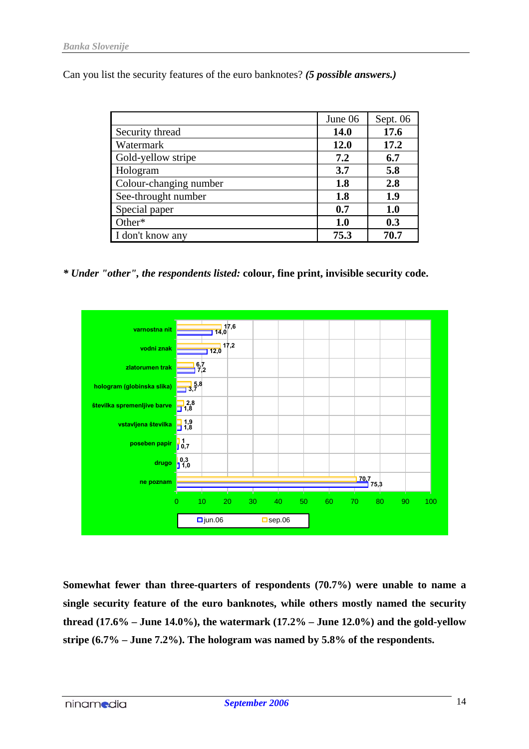Can you list the security features of the euro banknotes? *(5 possible answers.)*

|                        | June 06     | Sept. 06 |
|------------------------|-------------|----------|
| Security thread        | <b>14.0</b> | 17.6     |
| Watermark              | <b>12.0</b> | 17.2     |
| Gold-yellow stripe     | 7.2         | 6.7      |
| Hologram               | 3.7         | 5.8      |
| Colour-changing number | 1.8         | 2.8      |
| See-throught number    | 1.8         | 1.9      |
| Special paper          | 0.7         | 1.0      |
| Other*                 | 1.0         | 0.3      |
| I don't know any       | 75.3        | 70.7     |

*\* Under "other", the respondents listed:* **colour, fine print, invisible security code.**



**Somewhat fewer than three-quarters of respondents (70.7%) were unable to name a single security feature of the euro banknotes, while others mostly named the security thread (17.6% – June 14.0%), the watermark (17.2% – June 12.0%) and the gold-yellow stripe (6.7% – June 7.2%). The hologram was named by 5.8% of the respondents.**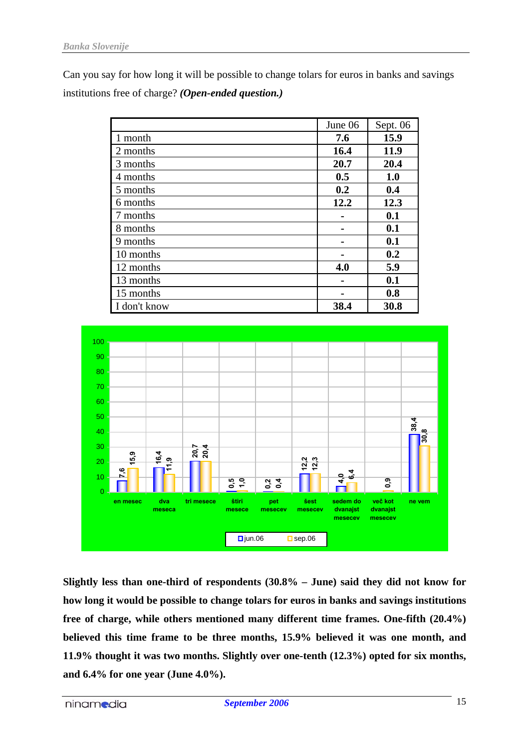Can you say for how long it will be possible to change tolars for euros in banks and savings institutions free of charge? *(Open-ended question.)*

|              | June 06 | Sept. 06 |
|--------------|---------|----------|
| 1 month      | 7.6     | 15.9     |
| 2 months     | 16.4    | 11.9     |
| 3 months     | 20.7    | 20.4     |
| 4 months     | 0.5     | 1.0      |
| 5 months     | 0.2     | 0.4      |
| 6 months     | 12.2    | 12.3     |
| 7 months     |         | 0.1      |
| 8 months     |         | 0.1      |
| 9 months     |         | 0.1      |
| 10 months    |         | 0.2      |
| 12 months    | 4.0     | 5.9      |
| 13 months    |         | 0.1      |
| 15 months    |         | 0.8      |
| I don't know | 38.4    | 30.8     |



**Slightly less than one-third of respondents (30.8% – June) said they did not know for how long it would be possible to change tolars for euros in banks and savings institutions free of charge, while others mentioned many different time frames. One-fifth (20.4%) believed this time frame to be three months, 15.9% believed it was one month, and 11.9% thought it was two months. Slightly over one-tenth (12.3%) opted for six months, and 6.4% for one year (June 4.0%).**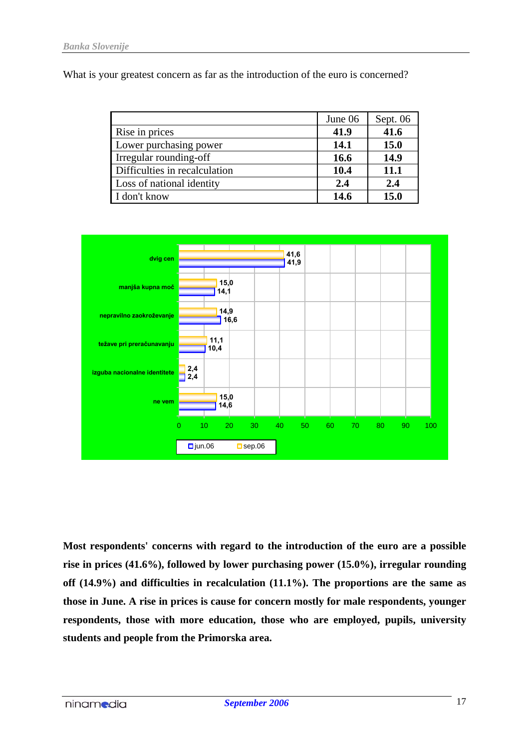What is your greatest concern as far as the introduction of the euro is concerned?

|                               | June 06 | Sept. $06$  |
|-------------------------------|---------|-------------|
| Rise in prices                | 41.9    | 41.6        |
| Lower purchasing power        | 14.1    | <b>15.0</b> |
| Irregular rounding-off        | 16.6    | 14.9        |
| Difficulties in recalculation | 10.4    | 11.1        |
| Loss of national identity     | 2.4     | 2.4         |
| I don't know                  | 14.6    | 15.0        |



**Most respondents' concerns with regard to the introduction of the euro are a possible rise in prices (41.6%), followed by lower purchasing power (15.0%), irregular rounding off (14.9%) and difficulties in recalculation (11.1%). The proportions are the same as those in June. A rise in prices is cause for concern mostly for male respondents, younger respondents, those with more education, those who are employed, pupils, university students and people from the Primorska area.**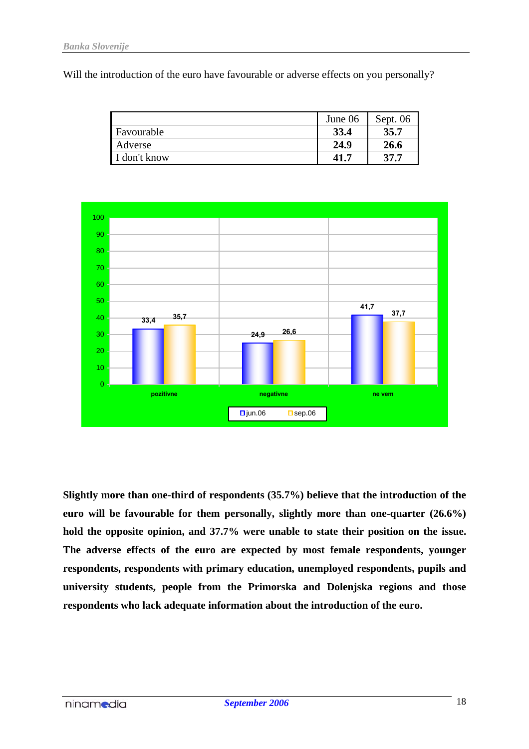Will the introduction of the euro have favourable or adverse effects on you personally?

|              | June 06 | Sept. 06 |
|--------------|---------|----------|
| Favourable   | 33.4    | 35.7     |
| Adverse      | 24.9    | 26.6     |
| I don't know | $-41.7$ | 37.7     |



**Slightly more than one-third of respondents (35.7%) believe that the introduction of the euro will be favourable for them personally, slightly more than one-quarter (26.6%) hold the opposite opinion, and 37.7% were unable to state their position on the issue. The adverse effects of the euro are expected by most female respondents, younger respondents, respondents with primary education, unemployed respondents, pupils and university students, people from the Primorska and Dolenjska regions and those respondents who lack adequate information about the introduction of the euro.**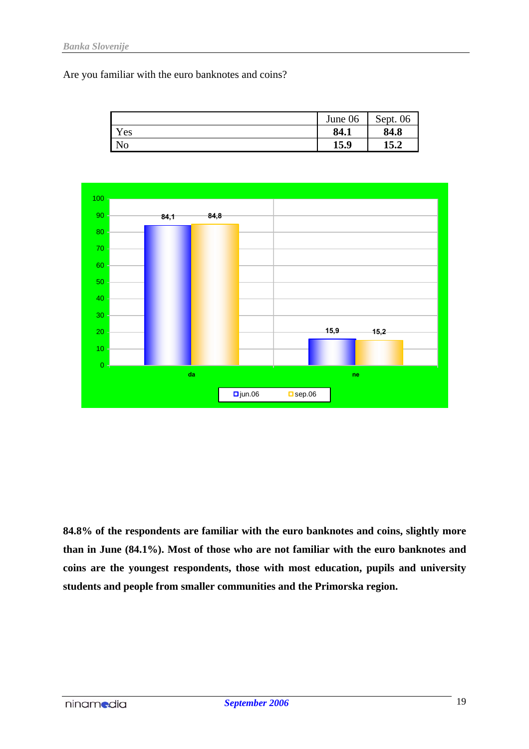Are you familiar with the euro banknotes and coins?

|                | June 06 | Sept.<br>06 |
|----------------|---------|-------------|
| Yes            | 84.1    | 84.8        |
| N <sub>O</sub> | 15.9    | 15.2        |



**84.8% of the respondents are familiar with the euro banknotes and coins, slightly more than in June (84.1%). Most of those who are not familiar with the euro banknotes and coins are the youngest respondents, those with most education, pupils and university students and people from smaller communities and the Primorska region.**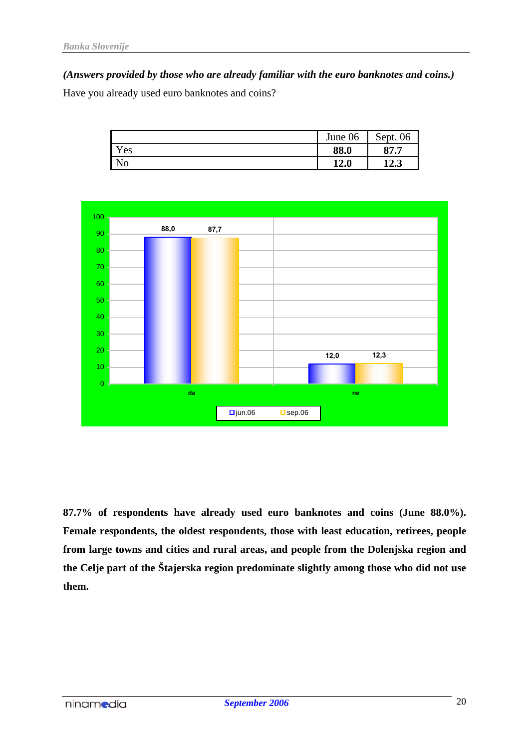*(Answers provided by those who are already familiar with the euro banknotes and coins.)*

Have you already used euro banknotes and coins?

|                | June 06 | Sept.<br>06 |
|----------------|---------|-------------|
| Yes            | 88.0    | 87.7        |
| N <sub>o</sub> | 12.0    | 12.3        |



**87.7% of respondents have already used euro banknotes and coins (June 88.0%). Female respondents, the oldest respondents, those with least education, retirees, people from large towns and cities and rural areas, and people from the Dolenjska region and the Celje part of the Štajerska region predominate slightly among those who did not use them.**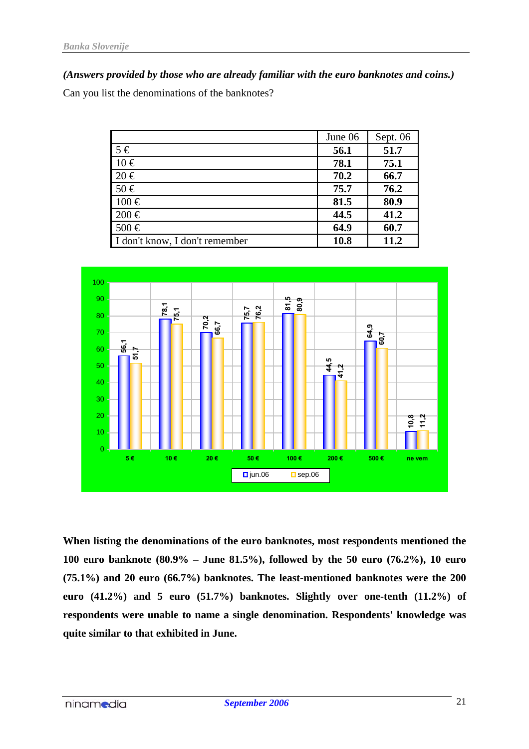*(Answers provided by those who are already familiar with the euro banknotes and coins.)*

Can you list the denominations of the banknotes?

|                                | June 06 | Sept. 06 |
|--------------------------------|---------|----------|
| $5 \in$                        | 56.1    | 51.7     |
| $10 \in$                       | 78.1    | 75.1     |
| $20 \in$                       | 70.2    | 66.7     |
| $50 \in$                       | 75.7    | 76.2     |
| $100 \in$                      | 81.5    | 80.9     |
| $200 \in$                      | 44.5    | 41.2     |
| 500€                           | 64.9    | 60.7     |
| I don't know, I don't remember | 10.8    | 11.2     |



**When listing the denominations of the euro banknotes, most respondents mentioned the 100 euro banknote (80.9% – June 81.5%), followed by the 50 euro (76.2%), 10 euro (75.1%) and 20 euro (66.7%) banknotes. The least-mentioned banknotes were the 200 euro (41.2%) and 5 euro (51.7%) banknotes. Slightly over one-tenth (11.2%) of respondents were unable to name a single denomination. Respondents' knowledge was quite similar to that exhibited in June.**